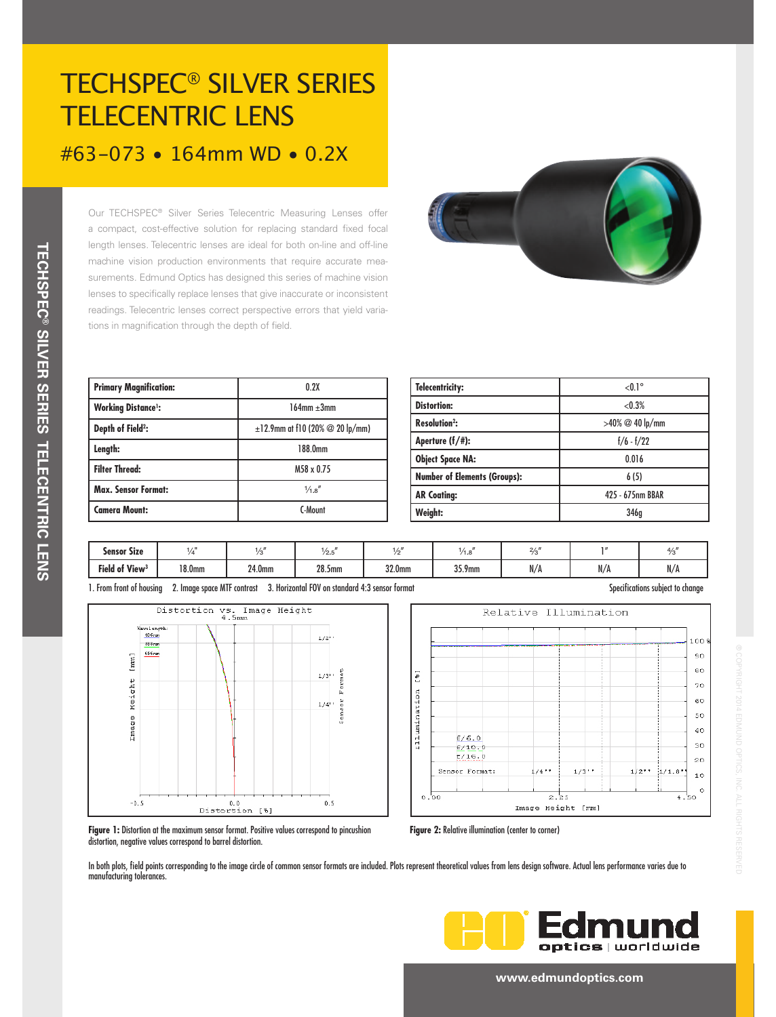# TECHSPEC® SILVER SERIES TELECENTRIC LENS #63-073 • 164mm WD • 0.2X

Our TECHSPEC® Silver Series Telecentric Measuring Lenses offer a compact, cost-effective solution for replacing standard fixed focal length lenses. Telecentric lenses are ideal for both on-line and off-line machine vision production environments that require accurate measurements. Edmund Optics has designed this series of machine vision lenses to specifically replace lenses that give inaccurate or inconsistent readings. Telecentric lenses correct perspective errors that yield variations in magnification through the depth of field.



| <b>Primary Magnification:</b> | 0.2X                                         |  |  |  |
|-------------------------------|----------------------------------------------|--|--|--|
| <b>Working Distance':</b>     | $164$ mm $+3$ mm                             |  |  |  |
| Depth of Field <sup>2</sup> : | $\pm$ 12.9mm at f10 (20% $\oslash$ 20 lp/mm) |  |  |  |
| Length:                       | 188.0mm                                      |  |  |  |
| <b>Filter Thread:</b>         | M58 x 0.75                                   |  |  |  |
| <b>Max. Sensor Format:</b>    | $\frac{1}{4}$ .8"                            |  |  |  |
| <b>Camera Mount:</b>          | C-Mount                                      |  |  |  |

| <b>Telecentricity:</b>              | $< 0.1$ °          |  |  |  |
|-------------------------------------|--------------------|--|--|--|
| <b>Distortion:</b>                  | < 0.3%             |  |  |  |
| <b>Resolution<sup>2</sup>:</b>      | $>40\%$ @ 40 lp/mm |  |  |  |
| Aperture $(f/\#)$ :                 | $f/6 - f/22$       |  |  |  |
| <b>Object Space NA:</b>             | 0.016              |  |  |  |
| <b>Number of Elements (Groups):</b> | 6(5)               |  |  |  |
| <b>AR Coating:</b>                  | 425 - 675nm BBAR   |  |  |  |
| Weight:                             | 346q               |  |  |  |

| <br>Sensor Size            | <b>17 E</b>        |        | 1/2.5              |        | 1.0    | $\sim$<br>2/r<br>د ، |     | 4/  |
|----------------------------|--------------------|--------|--------------------|--------|--------|----------------------|-----|-----|
| Field of View <sup>3</sup> | 18.0 <sub>mm</sub> | 24.0mm | 28.5 <sub>mm</sub> | 32.0mm | 35.9mm | N/A                  | N/A | N/A |







**Figure 1:** Distortion at the maximum sensor format. Positive values correspond to pincushion distortion, negative values correspond to barrel distortion.

**Figure 2:** Relative illumination (center to corner)

In both plots, field points corresponding to the image circle of common sensor formats are included. Plots represent theoretical values from lens design software. Actual lens performance varies due to manufacturing tolerances.



#### **www.edmundoptics.com**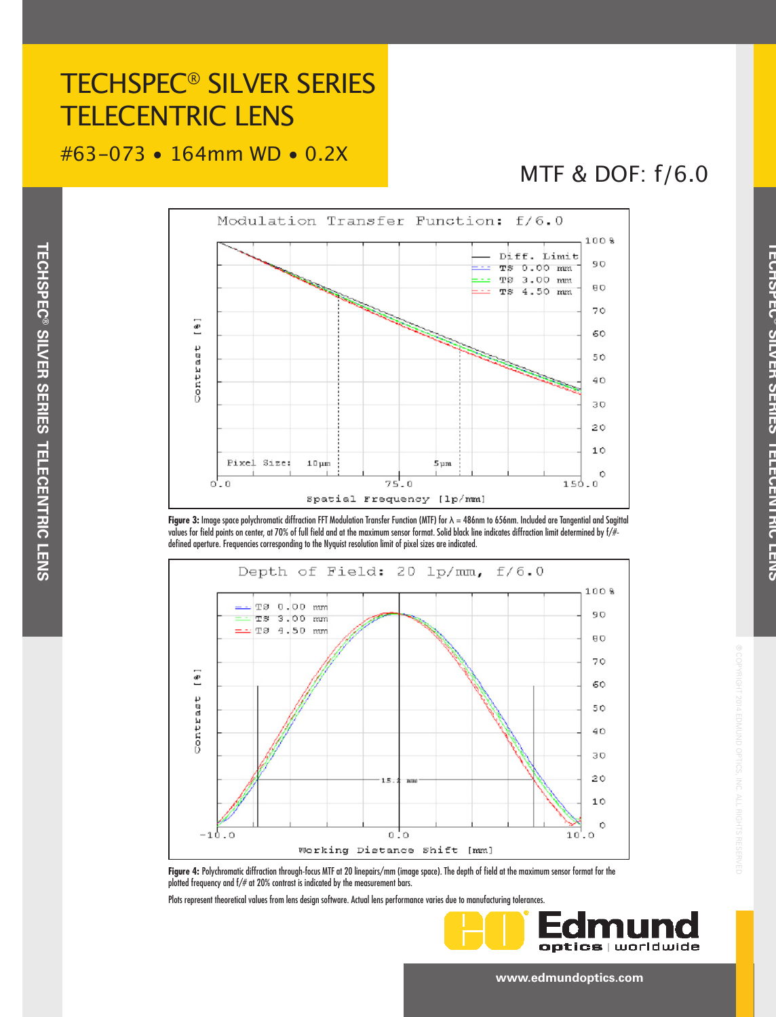## TECHSPEC® SILVER SERIES TELECENTRIC LENS

### #63-073 • 164mm WD • 0.2X

MTF & DOF: f/6.0

**TECHSPEC**

**THOTAL** 

**® SILVER SERIES TELECENTRIC LENS**

**THE CHAIRS FRING** 

CITY NU CENTRO

® COPYRIGHT 2014 EDMUND OPTICS, INC. ALL RIGHTS RESERVED



**Figure 3:** Image space polychromatic diffraction FFT Modulation Transfer Function (MTF) for λ = 486nm to 656nm. Included are Tangential and Sagittal values for field points on center, at 70% of full field and at the maximum sensor format. Solid black line indicates diffraction limit determined by f/# defined aperture. Frequencies corresponding to the Nyquist resolution limit of pixel sizes are indicated.



**Figure 4:** Polychromatic diffraction through-focus MTF at 20 linepairs/mm (image space). The depth of field at the maximum sensor format for the plotted frequency and f/# at 20% contrast is indicated by the measurement bars.

Plots represent theoretical values from lens design software. Actual lens performance varies due to manufacturing tolerances.



**www.edmundoptics.com**